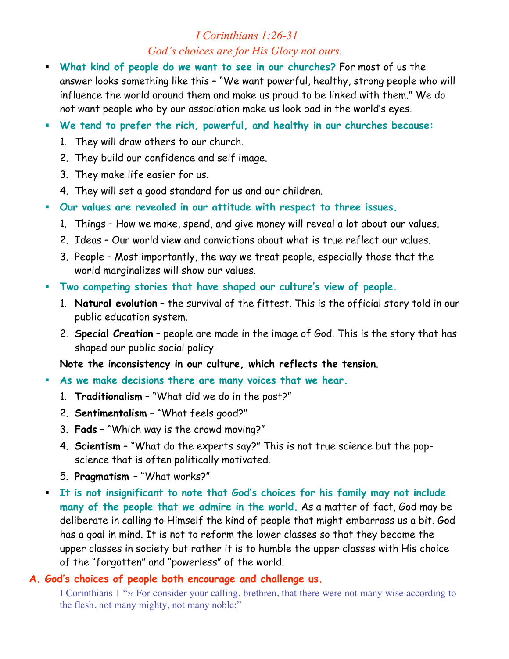# *I Corinthians 1:26-31 God's choices are for His Glory not ours.*

- ! **What kind of people do we want to see in our churches?** For most of us the answer looks something like this – "We want powerful, healthy, strong people who will influence the world around them and make us proud to be linked with them." We do not want people who by our association make us look bad in the world's eyes.
- ! **We tend to prefer the rich, powerful, and healthy in our churches because:**
	- 1. They will draw others to our church.
	- 2. They build our confidence and self image.
	- 3. They make life easier for us.
	- 4. They will set a good standard for us and our children.
- ! **Our values are revealed in our attitude with respect to three issues.**
	- 1. Things How we make, spend, and give money will reveal a lot about our values.
	- 2. Ideas Our world view and convictions about what is true reflect our values.
	- 3. People Most importantly, the way we treat people, especially those that the world marginalizes will show our values.
- ! **Two competing stories that have shaped our culture's view of people.**
	- 1. **Natural evolution** the survival of the fittest. This is the official story told in our public education system.
	- 2. **Special Creation** people are made in the image of God. This is the story that has shaped our public social policy.

**Note the inconsistency in our culture, which reflects the tension**.

- ! **As we make decisions there are many voices that we hear.**
	- 1. **Traditionalism** "What did we do in the past?"
	- 2. **Sentimentalism** "What feels good?"
	- 3. **Fads** "Which way is the crowd moving?"
	- 4. **Scientism** "What do the experts say?" This is not true science but the popscience that is often politically motivated.
	- 5. **Pragmatism**  "What works?"
- ! **It is not insignificant to note that God's choices for his family may not include many of the people that we admire in the world.** As a matter of fact, God may be deliberate in calling to Himself the kind of people that might embarrass us a bit. God has a goal in mind. It is not to reform the lower classes so that they become the upper classes in society but rather it is to humble the upper classes with His choice of the "forgotten" and "powerless" of the world.

#### **A. God's choices of people both encourage and challenge us.**

I Corinthians 1 "26 For consider your calling, brethren, that there were not many wise according to the flesh, not many mighty, not many noble;"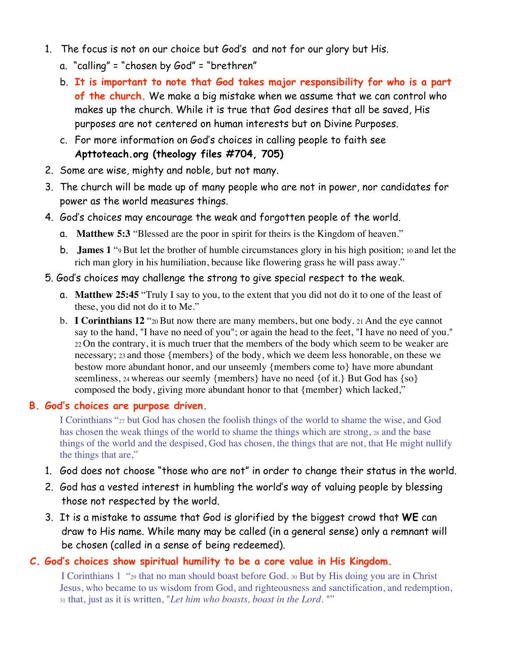- 1. The focus is not on our choice but God's and not for our glory but His.
	- a. "calling" = "chosen by God" = "brethren"
	- b. **It is important to note that God takes major responsibility for who is a part of the church.** We make a big mistake when we assume that we can control who makes up the church. While it is true that God desires that all be saved, His purposes are not centered on human interests but on Divine Purposes.
	- c. For more information on God's choices in calling people to faith see **Apttoteach.org (theology files #704, 705)**
- 2. Some are wise, mighty and noble, but not many.
- 3. The church will be made up of many people who are not in power, nor candidates for power as the world measures things.
- 4. God's choices may encourage the weak and forgotten people of the world.
	- a. **Matthew 5:3** "Blessed are the poor in spirit for theirs is the Kingdom of heaven."
	- b. **James 1** "9 But let the brother of humble circumstances glory in his high position; 10 and let the rich man glory in his humiliation, because like flowering grass he will pass away."

#### 5. God's choices may challenge the strong to give special respect to the weak.

- a. **Matthew 25:45** "Truly I say to you, to the extent that you did not do it to one of the least of these, you did not do it to Me."
- b. **I Corinthians 12** "20 But now there are many members, but one body. 21 And the eye cannot say to the hand, "I have no need of you"; or again the head to the feet, "I have no need of you." 22 On the contrary, it is much truer that the members of the body which seem to be weaker are necessary; 23 and those {members} of the body, which we deem less honorable, on these we bestow more abundant honor, and our unseemly {members come to} have more abundant seemliness, 24 whereas our seemly {members} have no need {of it.} But God has {so} composed the body, giving more abundant honor to that {member} which lacked,"

#### **B. God's choices are purpose driven.**

I Corinthians "27 but God has chosen the foolish things of the world to shame the wise, and God has chosen the weak things of the world to shame the things which are strong, 28 and the base things of the world and the despised, God has chosen, the things that are not, that He might nullify the things that are,"

- 1. God does not choose "those who are not" in order to change their status in the world.
- 2. God has a vested interest in humbling the world's way of valuing people by blessing those not respected by the world.
- 3. It is a mistake to assume that God is glorified by the biggest crowd that **WE** can draw to His name. While many may be called (in a general sense) only a remnant will be chosen (called in a sense of being redeemed).

#### **C. God's choices show spiritual humility to be a core value in His Kingdom.**

I Corinthians 1 "29 that no man should boast before God. 30 But by His doing you are in Christ Jesus, who became to us wisdom from God, and righteousness and sanctification, and redemption, 31 that, just as it is written, "*Let him who boasts, boast in the Lord*. ""